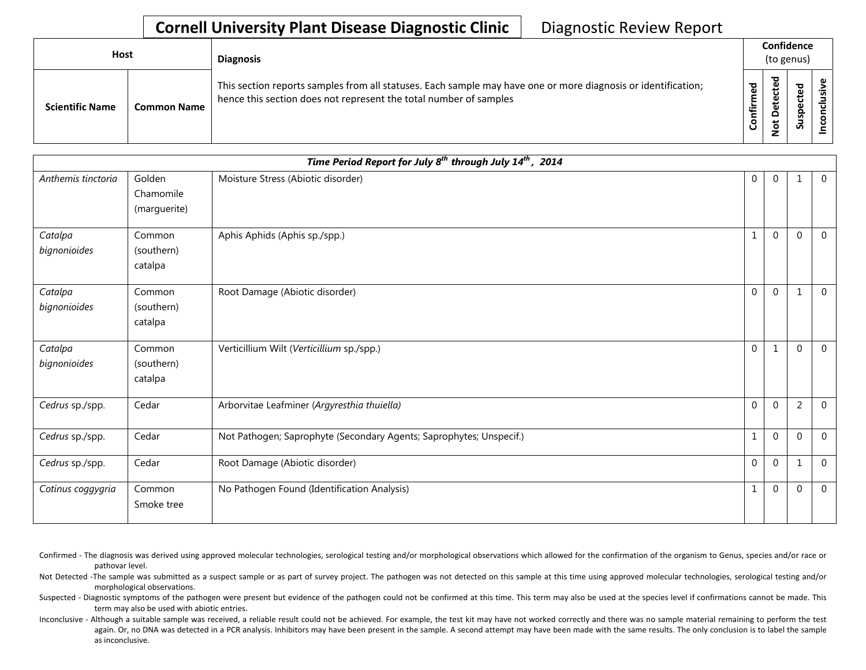| <b>Host</b> |                        |                    | <b>Diagnosis</b>                                                                                                                                                                   |                | Confidence<br>(to genus)        |                     |        |  |  |  |
|-------------|------------------------|--------------------|------------------------------------------------------------------------------------------------------------------------------------------------------------------------------------|----------------|---------------------------------|---------------------|--------|--|--|--|
|             | <b>Scientific Name</b> | <b>Common Name</b> | This section reports samples from all statuses. Each sample may have one or more diagnosis or identification;<br>hence this section does not represent the total number of samples | ਠ<br>٤<br>nfir | ᅙ<br>ٮ<br>ں<br>Φ<br>⊷<br>پ<br>ۊ | ᅙ<br>-<br>ဒ္ဓ<br>ഄഁ | ω<br>S |  |  |  |

|                         |                                     | Time Period Report for July $\overline{8^{th}}$ through July $14^{th}$ , 2014 |                |                  |                |                |
|-------------------------|-------------------------------------|-------------------------------------------------------------------------------|----------------|------------------|----------------|----------------|
| Anthemis tinctoria      | Golden<br>Chamomile<br>(marguerite) | Moisture Stress (Abiotic disorder)                                            | 0              | $\mathbf{0}$     | 1              | $\overline{0}$ |
| Catalpa<br>bignonioides | Common<br>(southern)<br>catalpa     | Aphis Aphids (Aphis sp./spp.)                                                 | 1              | $\mathbf{0}$     | $\mathbf 0$    | $\Omega$       |
| Catalpa<br>bignonioides | Common<br>(southern)<br>catalpa     | Root Damage (Abiotic disorder)                                                | $\overline{0}$ | $\boldsymbol{0}$ | $\mathbf 1$    | $\overline{0}$ |
| Catalpa<br>bignonioides | Common<br>(southern)<br>catalpa     | Verticillium Wilt (Verticillium sp./spp.)                                     | $\overline{0}$ | 1                | $\mathbf 0$    | $\mathbf{0}$   |
| Cedrus sp./spp.         | Cedar                               | Arborvitae Leafminer (Argyresthia thuiella)                                   | $\overline{0}$ | 0                | $\overline{2}$ | $\mathbf{0}$   |
| Cedrus sp./spp.         | Cedar                               | Not Pathogen; Saprophyte (Secondary Agents; Saprophytes; Unspecif.)           | 1              | 0                | $\mathbf 0$    | $\mathbf{0}$   |
| Cedrus sp./spp.         | Cedar                               | Root Damage (Abiotic disorder)                                                | $\overline{0}$ | 0                | 1              | $\mathbf{0}$   |
| Cotinus coggygria       | Common<br>Smoke tree                | No Pathogen Found (Identification Analysis)                                   | $\mathbf{1}$   | $\mathbf 0$      | $\mathbf{0}$   | $\overline{0}$ |

Confirmed - The diagnosis was derived using approved molecular technologies, serological testing and/or morphological observations which allowed for the confirmation of the organism to Genus, species and/or race or pathovar level.

Not Detected -The sample was submitted as a suspect sample or as part of survey project. The pathogen was not detected on this sample at this time using approved molecular technologies, serological testing and/or morphological observations.

Suspected - Diagnostic symptoms of the pathogen were present but evidence of the pathogen could not be confirmed at this time. This term may also be used at the species level if confirmations cannot be made. This term may also be used with abiotic entries.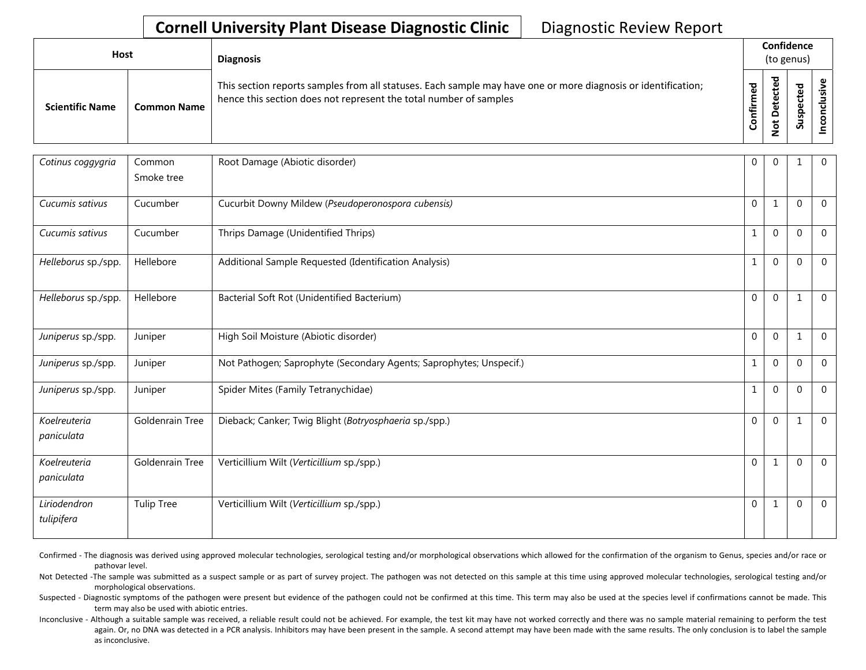| <b>Host</b>            |             | <b>Diagnosis</b>                                                                                                                                                                   |                             | Confidence<br>(to genus)        |                    |  |  |  |
|------------------------|-------------|------------------------------------------------------------------------------------------------------------------------------------------------------------------------------------|-----------------------------|---------------------------------|--------------------|--|--|--|
| <b>Scientific Name</b> | Common Name | This section reports samples from all statuses. Each sample may have one or more diagnosis or identification;<br>hence this section does not represent the total number of samples | ᇃ<br>ě<br>E<br><b>nfiri</b> | ᅙ<br>உ<br>τ.<br>ete<br><u>غ</u> | ъ<br>ن<br>ဒူ<br>వె |  |  |  |

| Cotinus coggygria          | Common<br>Smoke tree   | Root Damage (Abiotic disorder)                                      | $\mathbf 0$    | $\mathbf 0$  | $\mathbf 1$  | $\mathbf 0$    |
|----------------------------|------------------------|---------------------------------------------------------------------|----------------|--------------|--------------|----------------|
| Cucumis sativus            | Cucumber               | Cucurbit Downy Mildew (Pseudoperonospora cubensis)                  | $\overline{0}$ | 1            | 0            | $\overline{0}$ |
| Cucumis sativus            | Cucumber               | Thrips Damage (Unidentified Thrips)                                 | 1              | $\mathbf{0}$ | 0            | $\Omega$       |
| Helleborus sp./spp.        | Hellebore              | Additional Sample Requested (Identification Analysis)               | 1              | $\mathbf{0}$ | $\mathbf{0}$ | $\mathbf 0$    |
| Helleborus sp./spp.        | Hellebore              | Bacterial Soft Rot (Unidentified Bacterium)                         | $\Omega$       | $\mathbf{0}$ | 1            | $\mathbf 0$    |
| Juniperus sp./spp.         | Juniper                | High Soil Moisture (Abiotic disorder)                               | $\overline{0}$ | $\mathbf 0$  | 1            | $\overline{0}$ |
| Juniperus sp./spp.         | Juniper                | Not Pathogen; Saprophyte (Secondary Agents; Saprophytes; Unspecif.) | 1              | $\mathbf{0}$ | $\mathbf{0}$ | $\mathbf 0$    |
| Juniperus sp./spp.         | Juniper                | Spider Mites (Family Tetranychidae)                                 | $\mathbf{1}$   | $\mathbf{0}$ | $\mathbf{0}$ | $\mathbf 0$    |
| Koelreuteria<br>paniculata | <b>Goldenrain Tree</b> | Dieback; Canker; Twig Blight (Botryosphaeria sp./spp.)              | $\overline{0}$ | $\mathbf{0}$ | 1            | $\overline{0}$ |
| Koelreuteria<br>paniculata | Goldenrain Tree        | Verticillium Wilt (Verticillium sp./spp.)                           | $\Omega$       |              | $\mathbf{0}$ | $\Omega$       |
| Liriodendron<br>tulipifera | <b>Tulip Tree</b>      | Verticillium Wilt (Verticillium sp./spp.)                           | $\overline{0}$ | 1            | $\mathbf{0}$ | $\overline{0}$ |

Confirmed - The diagnosis was derived using approved molecular technologies, serological testing and/or morphological observations which allowed for the confirmation of the organism to Genus, species and/or race or pathovar level.

Not Detected -The sample was submitted as a suspect sample or as part of survey project. The pathogen was not detected on this sample at this time using approved molecular technologies, serological testing and/or morphological observations.

Suspected - Diagnostic symptoms of the pathogen were present but evidence of the pathogen could not be confirmed at this time. This term may also be used at the species level if confirmations cannot be made. This term may also be used with abiotic entries.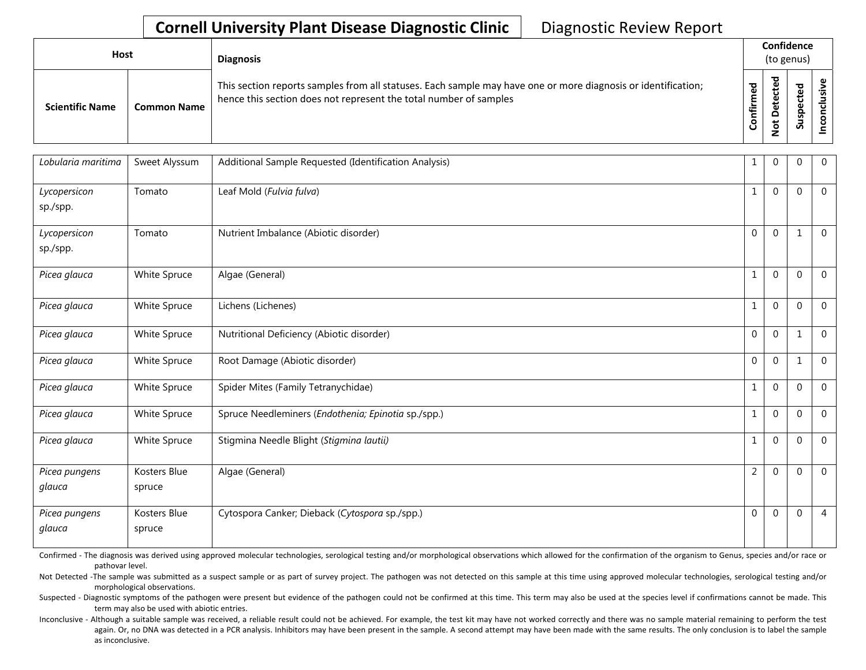| Host                   |                    | <b>Diagnosis</b>                                                                                                                                                                   |                        | Confidence<br>(to genus)                |                              |  |  |  |  |
|------------------------|--------------------|------------------------------------------------------------------------------------------------------------------------------------------------------------------------------------|------------------------|-----------------------------------------|------------------------------|--|--|--|--|
| <b>Scientific Name</b> | <b>Common Name</b> | This section reports samples from all statuses. Each sample may have one or more diagnosis or identification;<br>hence this section does not represent the total number of samples | ᅙ<br>Ě<br><b>Infir</b> | ᅙ<br>உ<br>ں<br>e,<br>Φ<br>$\frac{6}{2}$ | ਠ<br>ீ<br>ں<br>ဒ္ဓ<br>۔<br>Ū |  |  |  |  |

| Lobularia maritima       | Sweet Alyssum          | Additional Sample Requested (Identification Analysis) | $\mathbf{1}$   | 0            | $\mathbf{0}$ | $\mathbf 0$    |
|--------------------------|------------------------|-------------------------------------------------------|----------------|--------------|--------------|----------------|
| Lycopersicon<br>sp./spp. | Tomato                 | Leaf Mold (Fulvia fulva)                              | 1              | $\mathbf 0$  | $\Omega$     | $\Omega$       |
| Lycopersicon<br>sp./spp. | Tomato                 | Nutrient Imbalance (Abiotic disorder)                 | 0              | $\pmb{0}$    | 1            | $\mathbf{0}$   |
| Picea glauca             | White Spruce           | Algae (General)                                       | 1              | $\mathbf 0$  | $\mathbf 0$  | $\mathbf{0}$   |
| Picea glauca             | White Spruce           | Lichens (Lichenes)                                    | 1              | $\mathbf{0}$ | $\mathbf 0$  | $\mathbf{0}$   |
| Picea glauca             | White Spruce           | Nutritional Deficiency (Abiotic disorder)             | 0              | 0            | 1            | $\mathbf{0}$   |
| Picea glauca             | White Spruce           | Root Damage (Abiotic disorder)                        | $\overline{0}$ | $\mathbf{0}$ | 1            | $\overline{0}$ |
| Picea glauca             | White Spruce           | Spider Mites (Family Tetranychidae)                   | 1              | $\mathbf 0$  | $\Omega$     | $\mathbf{0}$   |
| Picea glauca             | White Spruce           | Spruce Needleminers (Endothenia; Epinotia sp./spp.)   | $\mathbf{1}$   | 0            | $\mathbf 0$  | $\mathbf{0}$   |
| Picea glauca             | White Spruce           | Stigmina Needle Blight (Stigmina lautii)              | $\mathbf{1}$   | $\pmb{0}$    | $\mathbf 0$  | $\mathbf 0$    |
| Picea pungens<br>glauca  | Kosters Blue<br>spruce | Algae (General)                                       | $\overline{2}$ | $\mathbf{0}$ | $\mathbf 0$  | $\Omega$       |
| Picea pungens<br>glauca  | Kosters Blue<br>spruce | Cytospora Canker; Dieback (Cytospora sp./spp.)        | 0              | 0            | $\mathbf 0$  | $\overline{4}$ |

Confirmed - The diagnosis was derived using approved molecular technologies, serological testing and/or morphological observations which allowed for the confirmation of the organism to Genus, species and/or race or pathovar level.

Not Detected -The sample was submitted as a suspect sample or as part of survey project. The pathogen was not detected on this sample at this time using approved molecular technologies, serological testing and/or morphological observations.

Suspected - Diagnostic symptoms of the pathogen were present but evidence of the pathogen could not be confirmed at this time. This term may also be used at the species level if confirmations cannot be made. This term may also be used with abiotic entries.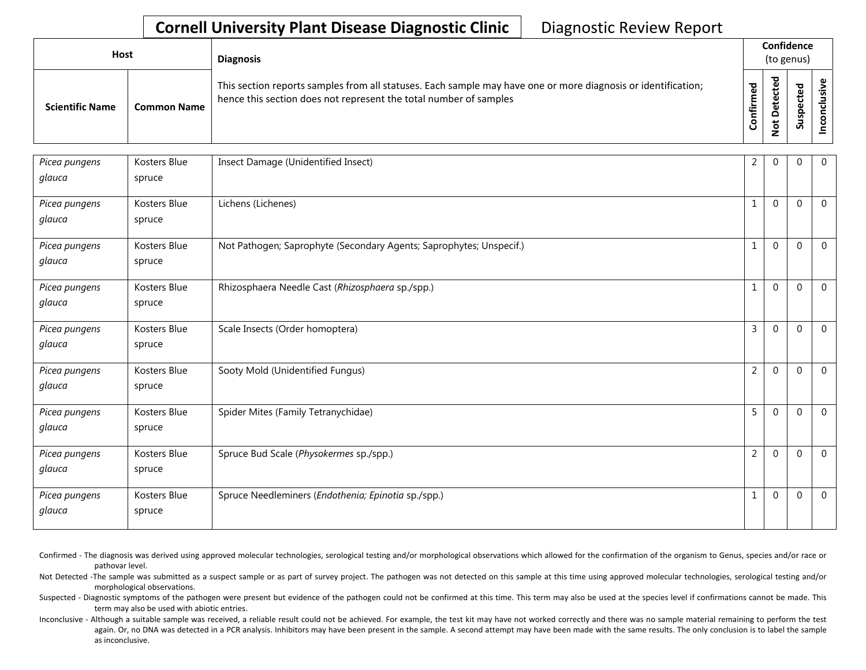| Host                   |                    | <b>Diagnosis</b>                                                                                                                                                                   |              | Confidence<br>(to genus) |                  |  |  |  |
|------------------------|--------------------|------------------------------------------------------------------------------------------------------------------------------------------------------------------------------------|--------------|--------------------------|------------------|--|--|--|
| <b>Scientific Name</b> | <b>Common Name</b> | This section reports samples from all statuses. Each sample may have one or more diagnosis or identification;<br>hence this section does not represent the total number of samples | ᇃ<br>'n<br>U | ಕ                        | ᅙ<br>௨<br>ន<br>S |  |  |  |

| Picea pungens | Kosters Blue | Insect Damage (Unidentified Insect)                                 | 2              | $\Omega$       | $\overline{0}$ | $\mathbf 0$    |
|---------------|--------------|---------------------------------------------------------------------|----------------|----------------|----------------|----------------|
| glauca        | spruce       |                                                                     |                |                |                |                |
| Picea pungens | Kosters Blue | Lichens (Lichenes)                                                  | 1              | $\Omega$       | $\Omega$       | $\Omega$       |
| glauca        | spruce       |                                                                     |                |                |                |                |
| Picea pungens | Kosters Blue | Not Pathogen; Saprophyte (Secondary Agents; Saprophytes; Unspecif.) | 1              | $\overline{0}$ | $\overline{0}$ | $\mathbf 0$    |
| glauca        | spruce       |                                                                     |                |                |                |                |
| Picea pungens | Kosters Blue | Rhizosphaera Needle Cast (Rhizosphaera sp./spp.)                    | 1              | 0              | $\Omega$       | $\Omega$       |
| glauca        | spruce       |                                                                     |                |                |                |                |
| Picea pungens | Kosters Blue | Scale Insects (Order homoptera)                                     | 3              | $\overline{0}$ | $\overline{0}$ | $\overline{0}$ |
| glauca        | spruce       |                                                                     |                |                |                |                |
| Picea pungens | Kosters Blue | Sooty Mold (Unidentified Fungus)                                    | $\overline{2}$ | $\Omega$       | $\Omega$       | $\overline{0}$ |
| glauca        | spruce       |                                                                     |                |                |                |                |
| Picea pungens | Kosters Blue | Spider Mites (Family Tetranychidae)                                 | 5              | $\overline{0}$ | $\mathbf 0$    | $\overline{0}$ |
| glauca        | spruce       |                                                                     |                |                |                |                |
| Picea pungens | Kosters Blue | Spruce Bud Scale (Physokermes sp./spp.)                             | $\overline{2}$ | $\overline{0}$ | $\mathbf 0$    | $\overline{0}$ |
| glauca        | spruce       |                                                                     |                |                |                |                |
| Picea pungens | Kosters Blue | Spruce Needleminers (Endothenia; Epinotia sp./spp.)                 | 1              | 0              | $\Omega$       | $\overline{0}$ |
| glauca        | spruce       |                                                                     |                |                |                |                |

Confirmed - The diagnosis was derived using approved molecular technologies, serological testing and/or morphological observations which allowed for the confirmation of the organism to Genus, species and/or race or pathovar level.

Not Detected -The sample was submitted as a suspect sample or as part of survey project. The pathogen was not detected on this sample at this time using approved molecular technologies, serological testing and/or morphological observations.

Suspected - Diagnostic symptoms of the pathogen were present but evidence of the pathogen could not be confirmed at this time. This term may also be used at the species level if confirmations cannot be made. This term may also be used with abiotic entries.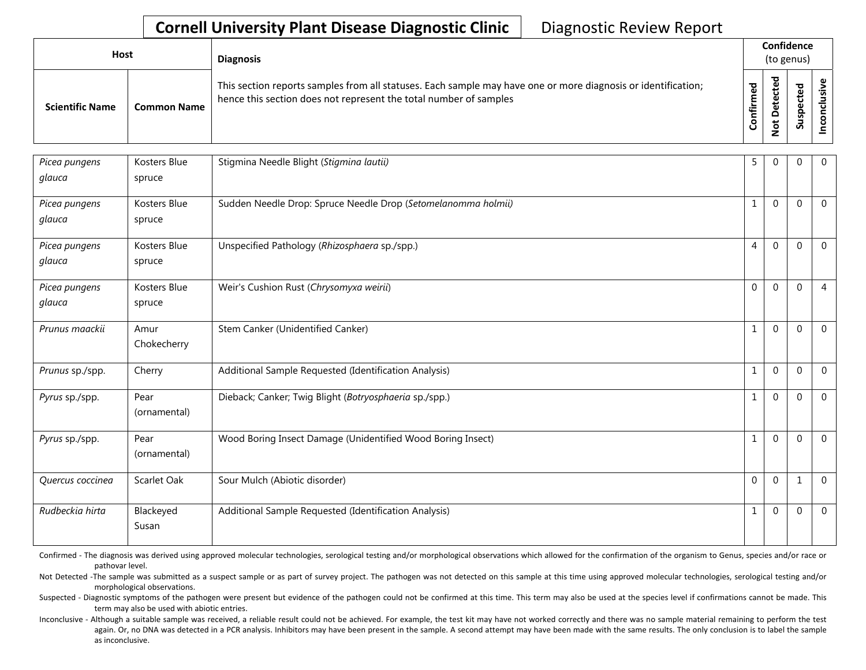| Host                   |                    | <b>Diagnosis</b>                                                                                                                                                                   |                 | Confidence<br>(to genus)                  |                             |  |  |  |
|------------------------|--------------------|------------------------------------------------------------------------------------------------------------------------------------------------------------------------------------|-----------------|-------------------------------------------|-----------------------------|--|--|--|
| <b>Scientific Name</b> | <b>Common Name</b> | This section reports samples from all statuses. Each sample may have one or more diagnosis or identification;<br>hence this section does not represent the total number of samples | ᅙ<br>Ě<br>onfir | ᅙ<br>$\mathbf{\omega}$<br>ete<br><u>۽</u> | ਠ<br>ت<br>ن<br>ဒ္<br>ے<br>S |  |  |  |

| Picea pungens    | Kosters Blue       | Stigmina Needle Blight (Stigmina lautii)                      | 5.             | 0            | $\mathbf{0}$ | $\mathbf{0}$   |
|------------------|--------------------|---------------------------------------------------------------|----------------|--------------|--------------|----------------|
| glauca           | spruce             |                                                               |                |              |              |                |
| Picea pungens    | Kosters Blue       | Sudden Needle Drop: Spruce Needle Drop (Setomelanomma holmii) | $\mathbf{1}$   | $\mathbf{0}$ | $\mathbf{0}$ | $\Omega$       |
| glauca           | spruce             |                                                               |                |              |              |                |
| Picea pungens    | Kosters Blue       | Unspecified Pathology (Rhizosphaera sp./spp.)                 | 4              | $\mathbf{0}$ | $\mathbf 0$  | $\mathbf{0}$   |
| glauca           | spruce             |                                                               |                |              |              |                |
| Picea pungens    | Kosters Blue       | Weir's Cushion Rust (Chrysomyxa weirii)                       | $\overline{0}$ | $\mathbf 0$  | $\mathbf 0$  | $\overline{4}$ |
| glauca           | spruce             |                                                               |                |              |              |                |
| Prunus maackii   | Amur               | Stem Canker (Unidentified Canker)                             | 1              | $\mathbf 0$  | $\mathbf 0$  | $\mathbf{0}$   |
|                  | Chokecherry        |                                                               |                |              |              |                |
| Prunus sp./spp.  | Cherry             | Additional Sample Requested (Identification Analysis)         | 1              | $\pmb{0}$    | $\mathbf 0$  | $\mathbf 0$    |
| Pyrus sp./spp.   | Pear               | Dieback; Canker; Twig Blight (Botryosphaeria sp./spp.)        | 1              | $\mathbf 0$  | $\mathbf 0$  | $\Omega$       |
|                  | (ornamental)       |                                                               |                |              |              |                |
| Pyrus sp./spp.   | Pear               | Wood Boring Insect Damage (Unidentified Wood Boring Insect)   | 1              | $\mathbf{0}$ | $\mathbf 0$  | $\mathbf 0$    |
|                  | (ornamental)       |                                                               |                |              |              |                |
| Quercus coccinea | Scarlet Oak        | Sour Mulch (Abiotic disorder)                                 | $\overline{0}$ | $\mathbf{0}$ | $\mathbf 1$  | $\mathbf{0}$   |
|                  |                    |                                                               |                |              |              |                |
| Rudbeckia hirta  | Blackeyed<br>Susan | Additional Sample Requested (Identification Analysis)         | $\mathbf{1}$   | 0            | $\theta$     | $\overline{0}$ |
|                  |                    |                                                               |                |              |              |                |

Confirmed - The diagnosis was derived using approved molecular technologies, serological testing and/or morphological observations which allowed for the confirmation of the organism to Genus, species and/or race or pathovar level.

Not Detected -The sample was submitted as a suspect sample or as part of survey project. The pathogen was not detected on this sample at this time using approved molecular technologies, serological testing and/or morphological observations.

Suspected - Diagnostic symptoms of the pathogen were present but evidence of the pathogen could not be confirmed at this time. This term may also be used at the species level if confirmations cannot be made. This term may also be used with abiotic entries.